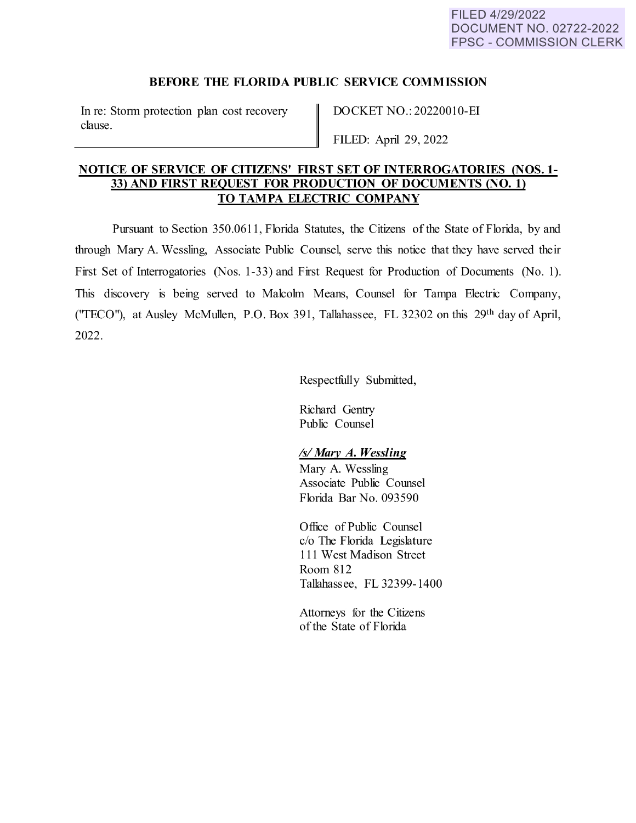## **BEFORE THE FLORIDA PUBLIC SERVICE COMMISSION**

In re: Storm protection plan cost recovery clause.

DOCKET NO.: 20220010-EI

FILED: April 29, 2022

# **NOTICE OF SERVICE OF CITIZENS' FIRST SET OF INTERROGATORIES (NOS. 1- 33) AND FIRST REQUEST FOR PRODUCTION OF DOCUMENTS (NO. 1) TO TAMPA ELECTRIC COMPANY**

Pursuant to Section 350.0611, Florida Statutes, the Citizens of the State of Florida, by and through Mary A. Wessling, Associate Public Counsel, serve this notice that they have served their First Set of Interrogatories (Nos. 1-33) and First Request for Production of Documents (No. 1). This discovery is being served to Malcohn Means, Counsel for Tampa Electric Company, (''TECO"), at Ausley McMullen, P.O. Box 391, Tallahassee, FL 32302 on this 29th day of April, 2022.

Respectfully Submitted,

Richard Gentry Public Counsel

### *Isl Mary A. Wessling*

Mary A. Wessling Associate Public Counsel Florida Bar No. 093590

Office of Public Counsel c/o The Florida Legislature 111 West Madison Street Room 812 Tallahassee, FL 32399-1400

Attorneys for the Citizens of the State of Florida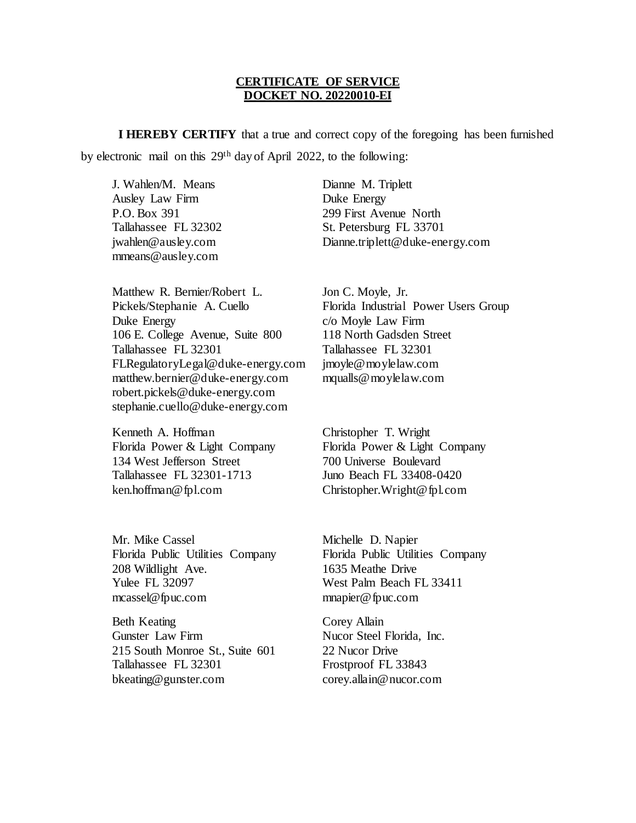### **CERTIFICATE OF SERVICE DOCKET NO. 20220010-EI**

**I HEREBY CERTIFY** that a true and correct copy of the foregoing has been furnished by electronic mail on this 29th day of April 2022, to the following:

J. Wahlen/M. Means Ausley Law Firm P.O. Box 391 Tallahassee FL 32302 jwahlen@ausley.com mmeans@ausley.com

Matthew R. Bernier/Robert L. Pickels/Stephanie A. Cuello Duke Energy 106 E. College Avenue, Suite 800 Tallahassee FL 32301 FLRegulatoryLegal@duke-energy.com matthew.bernier@duke-energy.com robert.pickels@duke-energy.com stephanie.cuello@duke-energy.com

Kenneth A. Hoffman Florida Power & Light Company 134 West Jefferson Street Tallahassee FL 32301-1713 ken.hoffman@fpl.com

Mr. Mike Cassel Florida Public Utilities Company 208 Wildlight Ave. Yulee FL 32097 mcassel@fpuc.com

Beth Keating Gunster Law Firm 215 South Monroe St., Suite 601 Tallahassee FL 32301 bkeating@gunster.com

Dianne M. Triplett Duke Energy 299 First Avenue North St. Petersburg FL 33701 Dianne.triplett@duke-energy.com

Jon C. Moyle, Jr. Florida Industrial Power Users Group c/o Moyle Law Firm 118 North Gadsden Street Tallahassee FL 32301 jmoyle@moylelaw.com mqualls@moylelaw.com

Christopher T. Wright Florida Power & Light Company 700 Universe Boulevard Juno Beach FL 33408-0420 Christopher.Wright@fpl.com

Michelle D. Napier Florida Public Utilities Company 1635 Meathe Drive West Palm Beach FL 33411 mnapier@fpuc.com

Corey Allain Nucor Steel Florida, Inc. 22 Nucor Drive Frostproof FL 33843 corey.allain@nucor.com